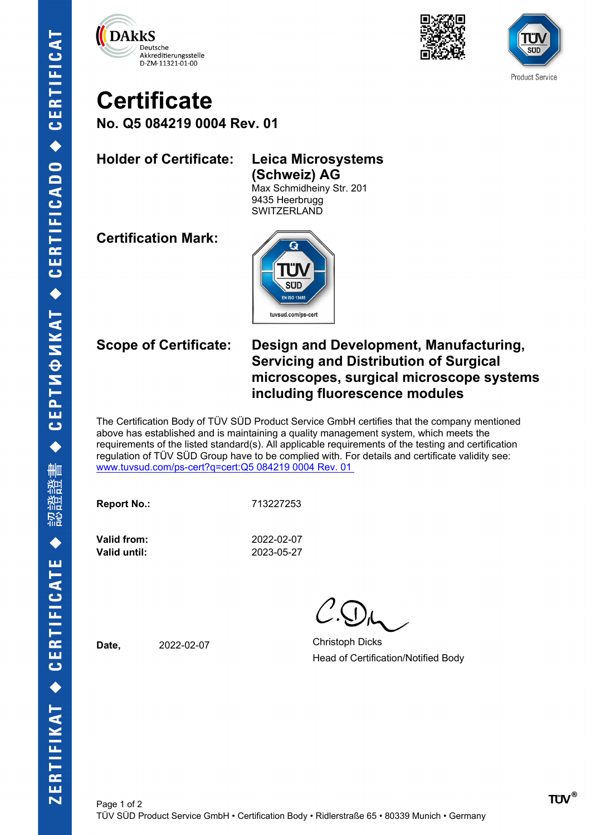





# **Certificate**

**No. Q5 084219 0004 Rev. 01**

### **Holder of Certificate: Leica Microsystems**

**(Schweiz) AG** Max Schmidheiny Str. 201 9435 Heerbrugg **SWITZERLAND** 

**Certification Mark:**



### **Scope of Certificate: Design and Development, Manufacturing, Servicing and Distribution of Surgical microscopes, surgical microscope systems including fluorescence modules**

The Certification Body of TÜV SÜD Product Service GmbH certifies that the company mentioned above has established and is maintaining a quality management system, which meets the requirements of the listed standard(s). All applicable requirements of the testing and certification regulation of TÜV SÜD Group have to be complied with. For details and certificate validity see: [www.tuvsud.com/ps-cert?q=cert:Q5 084219 0004 Rev. 01](http://www.tuvsud.com/ps-cert?q=cert:Q5%20084219%200004%20Rev.%2001%C2%A0) 

**Report No.:** 713227253

**Valid until:** 2023-05-27

**Valid from:** 2022-02-07

**Date,** 2022-02-07 Christoph Dicks Head of Certification/Notified Body